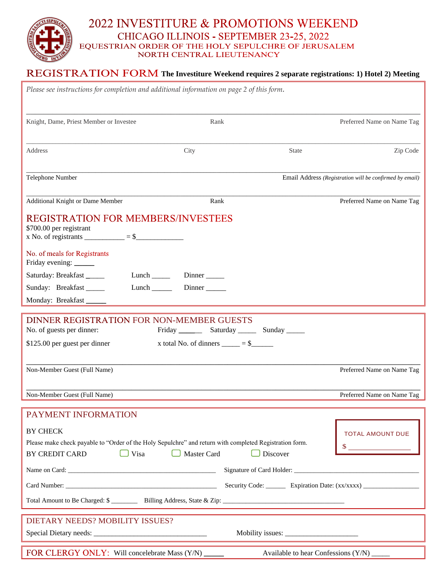# 2022 INVESTITURE & PROMOTIONS WEEKEND CHICAGO ILLINOIS - SEPTEMBER 23-25, 2022 EQUESTRIAN ORDER OF THE HOLY SEPULCHRE OF JERUSALEM<br>NORTH CENTRAL LIEUTENANCY

## **The Investiture Weekend requires 2 separate registrations: 1) Hotel 2) Meeting**

| Please see instructions for completion and additional information on page 2 of this form.                                                                          |                                        |              |                                                                                  |
|--------------------------------------------------------------------------------------------------------------------------------------------------------------------|----------------------------------------|--------------|----------------------------------------------------------------------------------|
| Knight, Dame, Priest Member or Investee                                                                                                                            | Rank                                   |              | Preferred Name on Name Tag                                                       |
| Address                                                                                                                                                            | City                                   | <b>State</b> | Zip Code                                                                         |
| Telephone Number                                                                                                                                                   |                                        |              | Email Address (Registration will be confirmed by email)                          |
| Additional Knight or Dame Member                                                                                                                                   | Rank                                   |              | Preferred Name on Name Tag                                                       |
| <b>REGISTRATION FOR MEMBERS/INVESTEES</b><br>\$700.00 per registrant<br>x No. of registrants $\frac{\ }{}$ = \$                                                    |                                        |              |                                                                                  |
| No. of meals for Registrants<br>Friday evening: _____                                                                                                              |                                        |              |                                                                                  |
| Saturday: Breakfast<br>Lunch $\qquad$                                                                                                                              | $Dinner$ <sub>______</sub>             |              |                                                                                  |
| Sunday: Breakfast                                                                                                                                                  | Lunch Dinner                           |              |                                                                                  |
| Monday: Breakfast                                                                                                                                                  |                                        |              |                                                                                  |
| DINNER REGISTRATION FOR NON-MEMBER GUESTS<br>No. of guests per dinner:<br>\$125.00 per guest per dinner                                                            | x total No. of dinners $\_\_\_\_\_\=\$ |              |                                                                                  |
| Non-Member Guest (Full Name)                                                                                                                                       |                                        |              | Preferred Name on Name Tag                                                       |
| Non-Member Guest (Full Name)                                                                                                                                       |                                        |              | Preferred Name on Name Tag                                                       |
| PAYMENT INFORMATION                                                                                                                                                |                                        |              |                                                                                  |
| <b>BY CHECK</b><br>Please make check payable to "Order of the Holy Sepulchre" and return with completed Registration form.<br>$\Box$ Visa<br><b>BY CREDIT CARD</b> | Master Card                            | Discover     | <b>TOTAL AMOUNT DUE</b>                                                          |
|                                                                                                                                                                    |                                        |              |                                                                                  |
|                                                                                                                                                                    |                                        |              | Security Code: _________ Expiration Date: (xx/xxxx) ____________________________ |
|                                                                                                                                                                    |                                        |              |                                                                                  |
| DIETARY NEEDS? MOBILITY ISSUES?                                                                                                                                    |                                        |              |                                                                                  |
|                                                                                                                                                                    |                                        |              |                                                                                  |
| FOR CLERGY ONLY: Will concelebrate Mass (Y/N) _____<br>Available to hear Confessions (Y/N)                                                                         |                                        |              |                                                                                  |